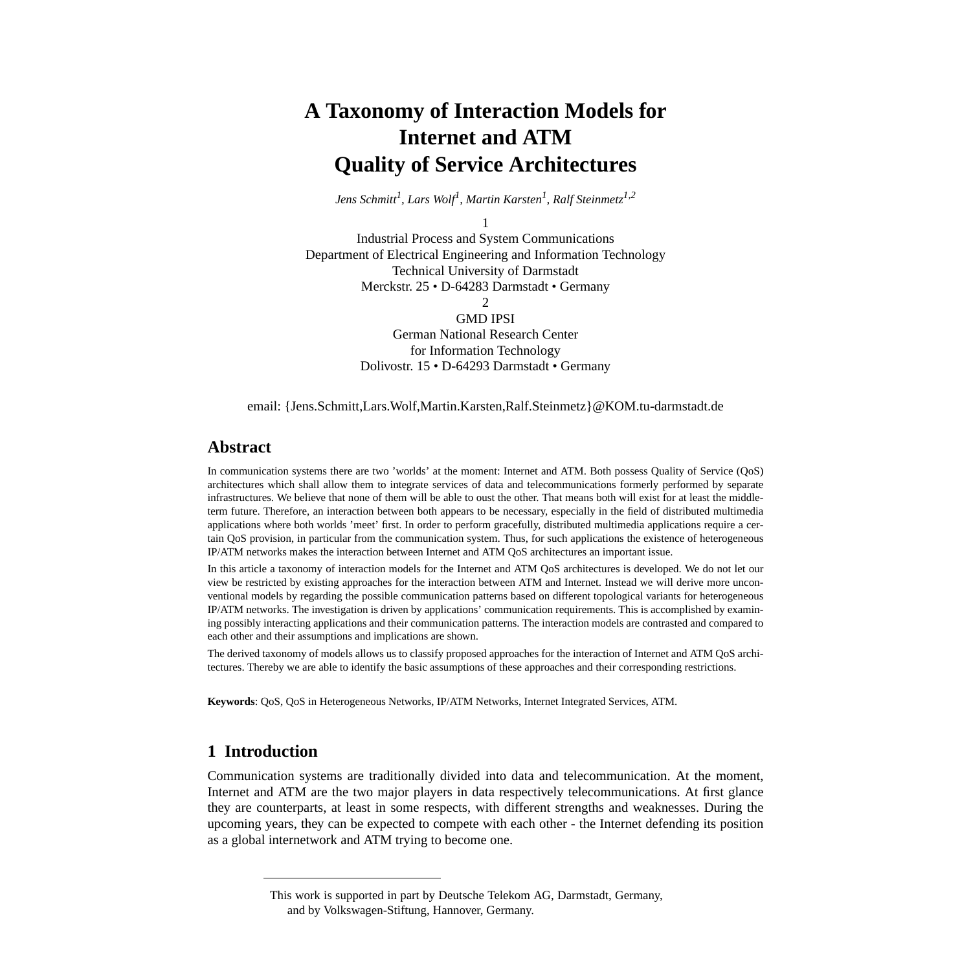# **A Taxonomy of Interaction Models for Internet and ATM Quality of Service Architectures**

Jens Schmitt<sup>1</sup>, Lars Wolf<sup>1</sup>, Martin Karsten<sup>1</sup>, Ralf Steinmetz<sup>1,2</sup>

1

Industrial Process and System Communications Department of Electrical Engineering and Information Technology Technical University of Darmstadt Merckstr. 25 • D-64283 Darmstadt • Germany  $\mathcal{D}$ 

GMD IPSI

German National Research Center for Information Technology Dolivostr. 15 • D-64293 Darmstadt • Germany

email: {Jens.Schmitt,Lars.Wolf,Martin.Karsten,Ralf.Steinmetz}@KOM.tu-darmstadt.de

# **Abstract**

In communication systems there are two 'worlds' at the moment: Internet and ATM. Both possess Quality of Service (QoS) architectures which shall allow them to integrate services of data and telecommunications formerly performed by separate infrastructures. We believe that none of them will be able to oust the other. That means both will exist for at least the middleterm future. Therefore, an interaction between both appears to be necessary, especially in the field of distributed multimedia applications where both worlds 'meet' first. In order to perform gracefully, distributed multimedia applications require a certain QoS provision, in particular from the communication system. Thus, for such applications the existence of heterogeneous IP/ATM networks makes the interaction between Internet and ATM QoS architectures an important issue.

In this article a taxonomy of interaction models for the Internet and ATM QoS architectures is developed. We do not let our view be restricted by existing approaches for the interaction between ATM and Internet. Instead we will derive more unconventional models by regarding the possible communication patterns based on different topological variants for heterogeneous IP/ATM networks. The investigation is driven by applications' communication requirements. This is accomplished by examining possibly interacting applications and their communication patterns. The interaction models are contrasted and compared to each other and their assumptions and implications are shown.

The derived taxonomy of models allows us to classify proposed approaches for the interaction of Internet and ATM QoS architectures. Thereby we are able to identify the basic assumptions of these approaches and their corresponding restrictions.

**Keywords**: QoS, QoS in Heterogeneous Networks, IP/ATM Networks, Internet Integrated Services, ATM.

# **1 Introduction**

Communication systems are traditionally divided into data and telecommunication. At the moment, Internet and ATM are the two major players in data respectively telecommunications. At first glance they are counterparts, at least in some respects, with different strengths and weaknesses. During the upcoming years, they can be expected to compete with each other - the Internet defending its position as a global internetwork and ATM trying to become one.

This work is supported in part by Deutsche Telekom AG, Darmstadt, Germany, and by Volkswagen-Stiftung, Hannover, Germany.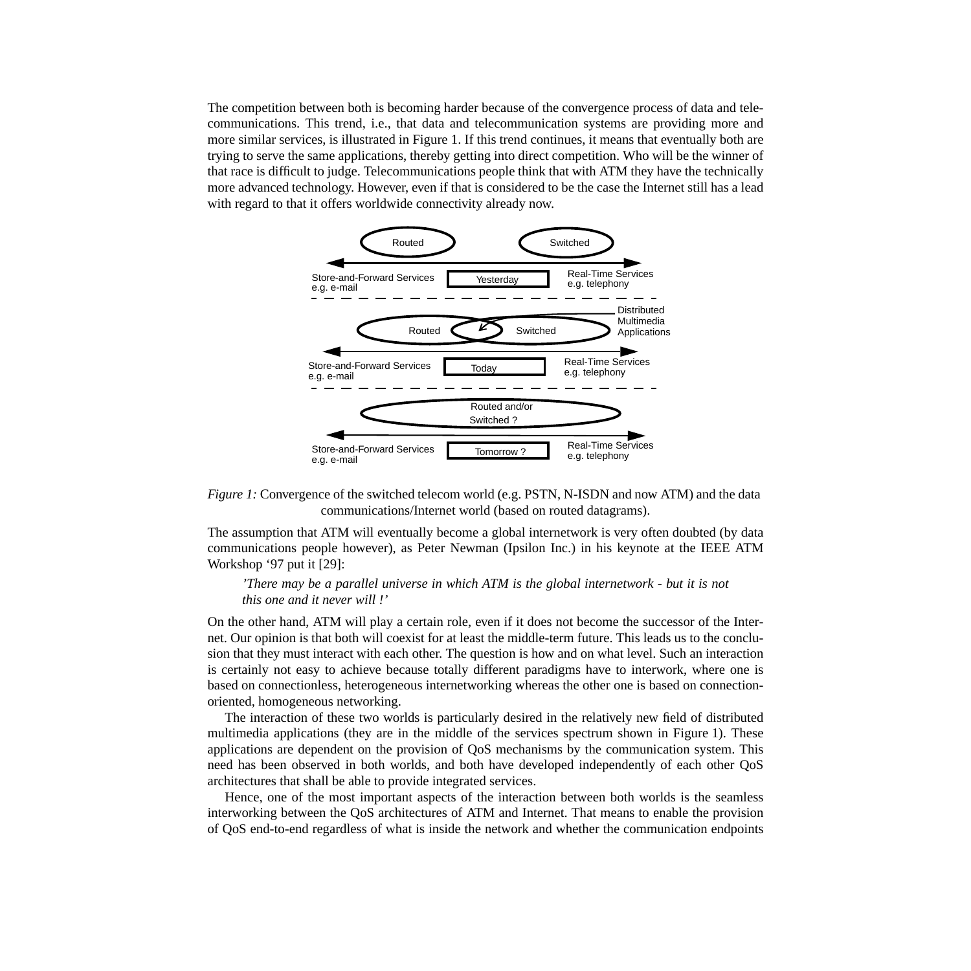The competition between both is becoming harder because of the convergence process of data and telecommunications. This trend, i.e., that data and telecommunication systems are providing more and more similar services, is illustrated in Figure 1. If this trend continues, it means that eventually both are trying to serve the same applications, thereby getting into direct competition. Who will be the winner of that race is difficult to judge. Telecommunications people think that with ATM they have the technically more advanced technology. However, even if that is considered to be the case the Internet still has a lead with regard to that it offers worldwide connectivity already now.





The assumption that ATM will eventually become a global internetwork is very often doubted (by data communications people however), as Peter Newman (Ipsilon Inc.) in his keynote at the IEEE ATM Workshop '97 put it [29]:

### *'There may be a parallel universe in which ATM is the global internetwork - but it is not this one and it never will !'*

On the other hand, ATM will play a certain role, even if it does not become the successor of the Internet. Our opinion is that both will coexist for at least the middle-term future. This leads us to the conclusion that they must interact with each other. The question is how and on what level. Such an interaction is certainly not easy to achieve because totally different paradigms have to interwork, where one is based on connectionless, heterogeneous internetworking whereas the other one is based on connectionoriented, homogeneous networking.

The interaction of these two worlds is particularly desired in the relatively new field of distributed multimedia applications (they are in the middle of the services spectrum shown in Figure 1). These applications are dependent on the provision of QoS mechanisms by the communication system. This need has been observed in both worlds, and both have developed independently of each other QoS architectures that shall be able to provide integrated services.

Hence, one of the most important aspects of the interaction between both worlds is the seamless interworking between the QoS architectures of ATM and Internet. That means to enable the provision of QoS end-to-end regardless of what is inside the network and whether the communication endpoints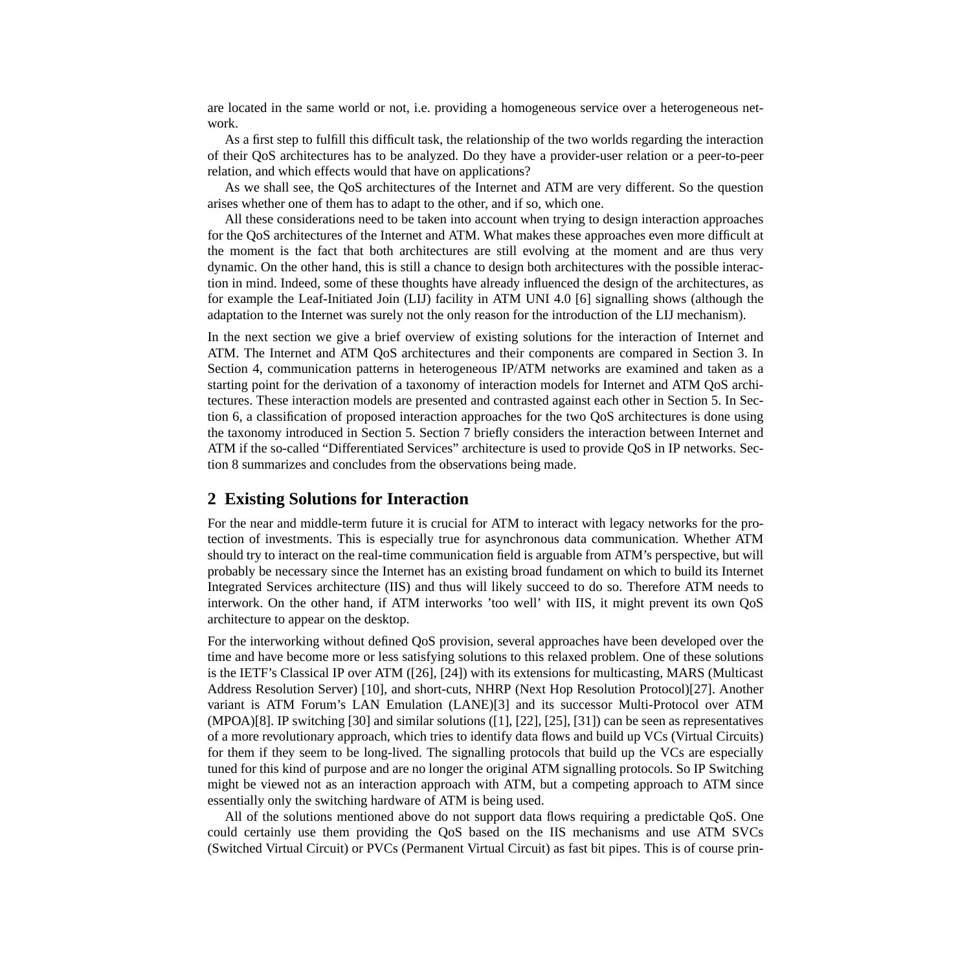are located in the same world or not, i.e. providing a homogeneous service over a heterogeneous network.

As a first step to fulfill this difficult task, the relationship of the two worlds regarding the interaction of their QoS architectures has to be analyzed. Do they have a provider-user relation or a peer-to-peer relation, and which effects would that have on applications?

As we shall see, the QoS architectures of the Internet and ATM are very different. So the question arises whether one of them has to adapt to the other, and if so, which one.

All these considerations need to be taken into account when trying to design interaction approaches for the QoS architectures of the Internet and ATM. What makes these approaches even more difficult at the moment is the fact that both architectures are still evolving at the moment and are thus very dynamic. On the other hand, this is still a chance to design both architectures with the possible interaction in mind. Indeed, some of these thoughts have already influenced the design of the architectures, as for example the Leaf-Initiated Join (LIJ) facility in ATM UNI 4.0 [6] signalling shows (although the adaptation to the Internet was surely not the only reason for the introduction of the LIJ mechanism).

In the next section we give a brief overview of existing solutions for the interaction of Internet and ATM. The Internet and ATM QoS architectures and their components are compared in Section 3. In Section 4, communication patterns in heterogeneous IP/ATM networks are examined and taken as a starting point for the derivation of a taxonomy of interaction models for Internet and ATM QoS architectures. These interaction models are presented and contrasted against each other in Section 5. In Section 6, a classification of proposed interaction approaches for the two QoS architectures is done using the taxonomy introduced in Section 5. Section 7 briefly considers the interaction between Internet and ATM if the so-called "Differentiated Services" architecture is used to provide QoS in IP networks. Section 8 summarizes and concludes from the observations being made.

### **2 Existing Solutions for Interaction**

For the near and middle-term future it is crucial for ATM to interact with legacy networks for the protection of investments. This is especially true for asynchronous data communication. Whether ATM should try to interact on the real-time communication field is arguable from ATM's perspective, but will probably be necessary since the Internet has an existing broad fundament on which to build its Internet Integrated Services architecture (IIS) and thus will likely succeed to do so. Therefore ATM needs to interwork. On the other hand, if ATM interworks 'too well' with IIS, it might prevent its own QoS architecture to appear on the desktop.

For the interworking without defined QoS provision, several approaches have been developed over the time and have become more or less satisfying solutions to this relaxed problem. One of these solutions is the IETF's Classical IP over ATM ([26], [24]) with its extensions for multicasting, MARS (Multicast Address Resolution Server) [10], and short-cuts, NHRP (Next Hop Resolution Protocol)[27]. Another variant is ATM Forum's LAN Emulation (LANE)[3] and its successor Multi-Protocol over ATM (MPOA)[8]. IP switching [30] and similar solutions ([1], [22], [25], [31]) can be seen as representatives of a more revolutionary approach, which tries to identify data flows and build up VCs (Virtual Circuits) for them if they seem to be long-lived. The signalling protocols that build up the VCs are especially tuned for this kind of purpose and are no longer the original ATM signalling protocols. So IP Switching might be viewed not as an interaction approach with ATM, but a competing approach to ATM since essentially only the switching hardware of ATM is being used.

All of the solutions mentioned above do not support data flows requiring a predictable QoS. One could certainly use them providing the QoS based on the IIS mechanisms and use ATM SVCs (Switched Virtual Circuit) or PVCs (Permanent Virtual Circuit) as fast bit pipes. This is of course prin-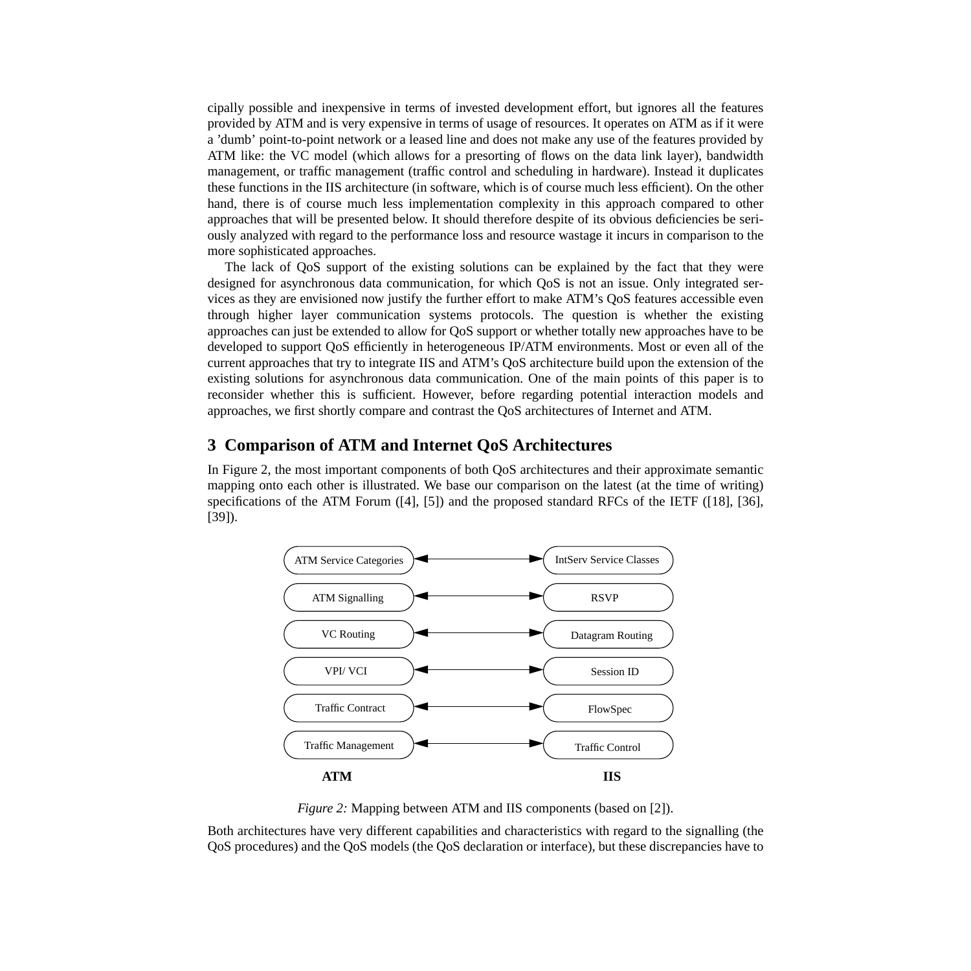cipally possible and inexpensive in terms of invested development effort, but ignores all the features provided by ATM and is very expensive in terms of usage of resources. It operates on ATM as if it were a 'dumb' point-to-point network or a leased line and does not make any use of the features provided by ATM like: the VC model (which allows for a presorting of flows on the data link layer), bandwidth management, or traffic management (traffic control and scheduling in hardware). Instead it duplicates these functions in the IIS architecture (in software, which is of course much less efficient). On the other hand, there is of course much less implementation complexity in this approach compared to other approaches that will be presented below. It should therefore despite of its obvious deficiencies be seriously analyzed with regard to the performance loss and resource wastage it incurs in comparison to the more sophisticated approaches.

The lack of QoS support of the existing solutions can be explained by the fact that they were designed for asynchronous data communication, for which QoS is not an issue. Only integrated services as they are envisioned now justify the further effort to make ATM's QoS features accessible even through higher layer communication systems protocols. The question is whether the existing approaches can just be extended to allow for QoS support or whether totally new approaches have to be developed to support QoS efficiently in heterogeneous IP/ATM environments. Most or even all of the current approaches that try to integrate IIS and ATM's QoS architecture build upon the extension of the existing solutions for asynchronous data communication. One of the main points of this paper is to reconsider whether this is sufficient. However, before regarding potential interaction models and approaches, we first shortly compare and contrast the QoS architectures of Internet and ATM.

# **3 Comparison of ATM and Internet QoS Architectures**

In Figure 2, the most important components of both QoS architectures and their approximate semantic mapping onto each other is illustrated. We base our comparison on the latest (at the time of writing) specifications of the ATM Forum ([4], [5]) and the proposed standard RFCs of the IETF ([18], [36], [39]).



*Figure 2:* Mapping between ATM and IIS components (based on [2]).

Both architectures have very different capabilities and characteristics with regard to the signalling (the QoS procedures) and the QoS models (the QoS declaration or interface), but these discrepancies have to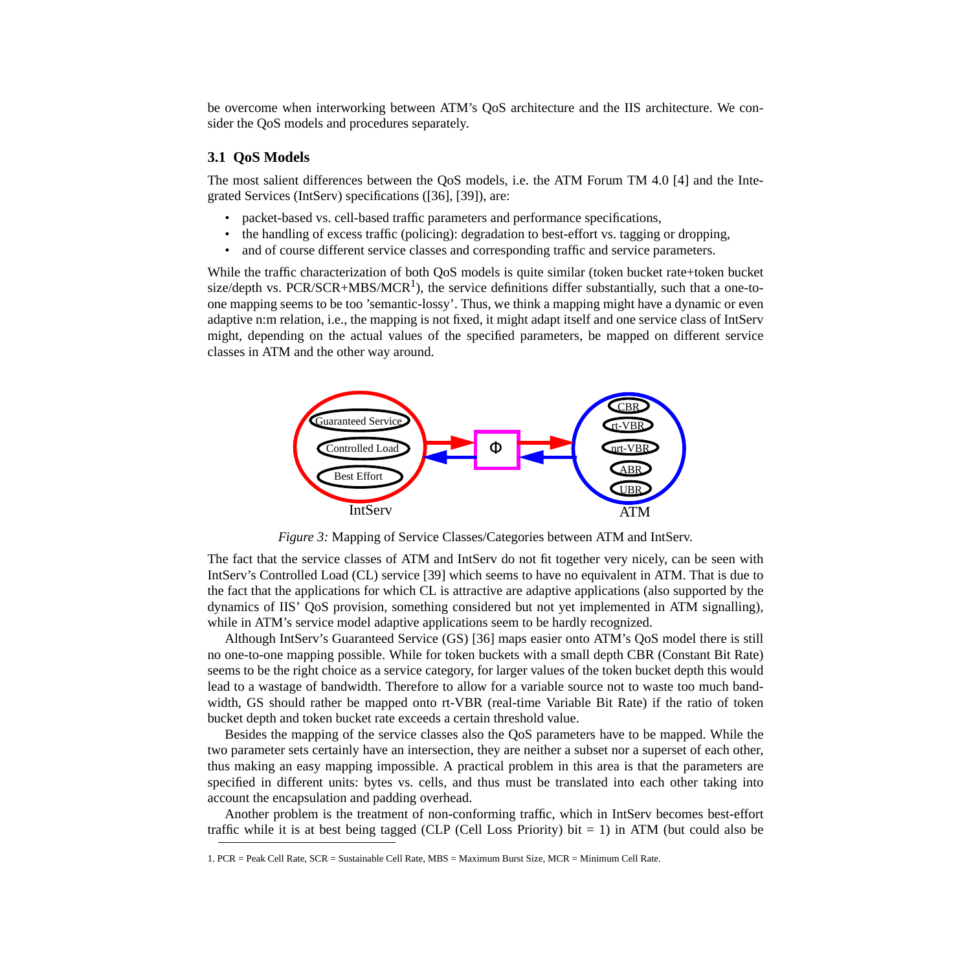be overcome when interworking between ATM's QoS architecture and the IIS architecture. We consider the QoS models and procedures separately.

### **3.1 QoS Models**

The most salient differences between the QoS models, i.e. the ATM Forum TM 4.0 [4] and the Integrated Services (IntServ) specifications ([36], [39]), are:

- packet-based vs. cell-based traffic parameters and performance specifications,
- the handling of excess traffic (policing): degradation to best-effort vs. tagging or dropping,
- and of course different service classes and corresponding traffic and service parameters.

While the traffic characterization of both QoS models is quite similar (token bucket rate+token bucket size/depth vs. PCR/SCR+MBS/MCR<sup>1</sup>), the service definitions differ substantially, such that a one-toone mapping seems to be too 'semantic-lossy'. Thus, we think a mapping might have a dynamic or even adaptive n:m relation, i.e., the mapping is not fixed, it might adapt itself and one service class of IntServ might, depending on the actual values of the specified parameters, be mapped on different service classes in ATM and the other way around.



*Figure 3:* Mapping of Service Classes/Categories between ATM and IntServ.

The fact that the service classes of ATM and IntServ do not fit together very nicely, can be seen with IntServ's Controlled Load (CL) service [39] which seems to have no equivalent in ATM. That is due to the fact that the applications for which CL is attractive are adaptive applications (also supported by the dynamics of IIS' QoS provision, something considered but not yet implemented in ATM signalling), while in ATM's service model adaptive applications seem to be hardly recognized.

Although IntServ's Guaranteed Service (GS) [36] maps easier onto ATM's QoS model there is still no one-to-one mapping possible. While for token buckets with a small depth CBR (Constant Bit Rate) seems to be the right choice as a service category, for larger values of the token bucket depth this would lead to a wastage of bandwidth. Therefore to allow for a variable source not to waste too much bandwidth, GS should rather be mapped onto rt-VBR (real-time Variable Bit Rate) if the ratio of token bucket depth and token bucket rate exceeds a certain threshold value.

Besides the mapping of the service classes also the QoS parameters have to be mapped. While the two parameter sets certainly have an intersection, they are neither a subset nor a superset of each other, thus making an easy mapping impossible. A practical problem in this area is that the parameters are specified in different units: bytes vs. cells, and thus must be translated into each other taking into account the encapsulation and padding overhead.

Another problem is the treatment of non-conforming traffic, which in IntServ becomes best-effort traffic while it is at best being tagged (CLP (Cell Loss Priority) bit  $= 1$ ) in ATM (but could also be

<sup>1.</sup> PCR = Peak Cell Rate, SCR = Sustainable Cell Rate, MBS = Maximum Burst Size, MCR = Minimum Cell Rate.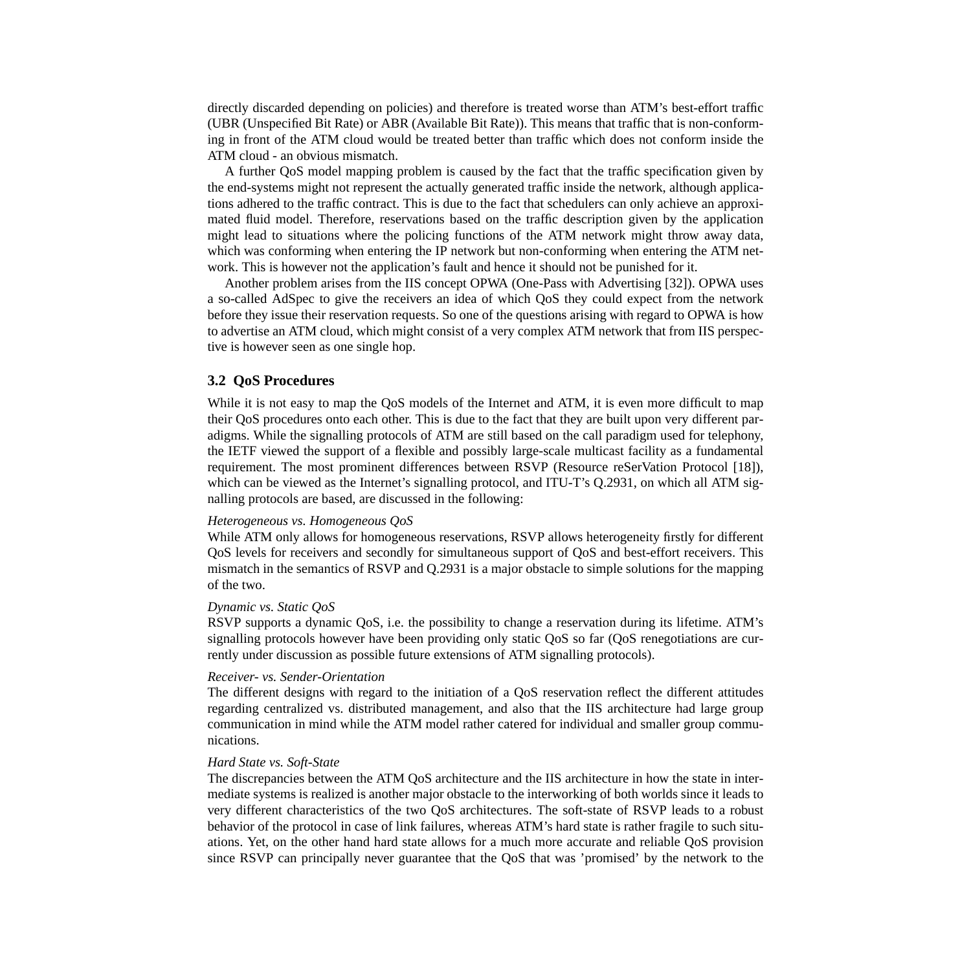directly discarded depending on policies) and therefore is treated worse than ATM's best-effort traffic (UBR (Unspecified Bit Rate) or ABR (Available Bit Rate)). This means that traffic that is non-conforming in front of the ATM cloud would be treated better than traffic which does not conform inside the ATM cloud - an obvious mismatch.

A further QoS model mapping problem is caused by the fact that the traffic specification given by the end-systems might not represent the actually generated traffic inside the network, although applications adhered to the traffic contract. This is due to the fact that schedulers can only achieve an approximated fluid model. Therefore, reservations based on the traffic description given by the application might lead to situations where the policing functions of the ATM network might throw away data, which was conforming when entering the IP network but non-conforming when entering the ATM network. This is however not the application's fault and hence it should not be punished for it.

Another problem arises from the IIS concept OPWA (One-Pass with Advertising [32]). OPWA uses a so-called AdSpec to give the receivers an idea of which QoS they could expect from the network before they issue their reservation requests. So one of the questions arising with regard to OPWA is how to advertise an ATM cloud, which might consist of a very complex ATM network that from IIS perspective is however seen as one single hop.

### **3.2 QoS Procedures**

While it is not easy to map the QoS models of the Internet and ATM, it is even more difficult to map their QoS procedures onto each other. This is due to the fact that they are built upon very different paradigms. While the signalling protocols of ATM are still based on the call paradigm used for telephony, the IETF viewed the support of a flexible and possibly large-scale multicast facility as a fundamental requirement. The most prominent differences between RSVP (Resource reSerVation Protocol [18]), which can be viewed as the Internet's signalling protocol, and ITU-T's Q.2931, on which all ATM signalling protocols are based, are discussed in the following:

#### *Heterogeneous vs. Homogeneous QoS*

While ATM only allows for homogeneous reservations, RSVP allows heterogeneity firstly for different QoS levels for receivers and secondly for simultaneous support of QoS and best-effort receivers. This mismatch in the semantics of RSVP and Q.2931 is a major obstacle to simple solutions for the mapping of the two.

#### *Dynamic vs. Static QoS*

RSVP supports a dynamic QoS, i.e. the possibility to change a reservation during its lifetime. ATM's signalling protocols however have been providing only static QoS so far (QoS renegotiations are currently under discussion as possible future extensions of ATM signalling protocols).

#### *Receiver- vs. Sender-Orientation*

The different designs with regard to the initiation of a QoS reservation reflect the different attitudes regarding centralized vs. distributed management, and also that the IIS architecture had large group communication in mind while the ATM model rather catered for individual and smaller group communications.

#### *Hard State vs. Soft-State*

The discrepancies between the ATM QoS architecture and the IIS architecture in how the state in intermediate systems is realized is another major obstacle to the interworking of both worlds since it leads to very different characteristics of the two QoS architectures. The soft-state of RSVP leads to a robust behavior of the protocol in case of link failures, whereas ATM's hard state is rather fragile to such situations. Yet, on the other hand hard state allows for a much more accurate and reliable QoS provision since RSVP can principally never guarantee that the QoS that was 'promised' by the network to the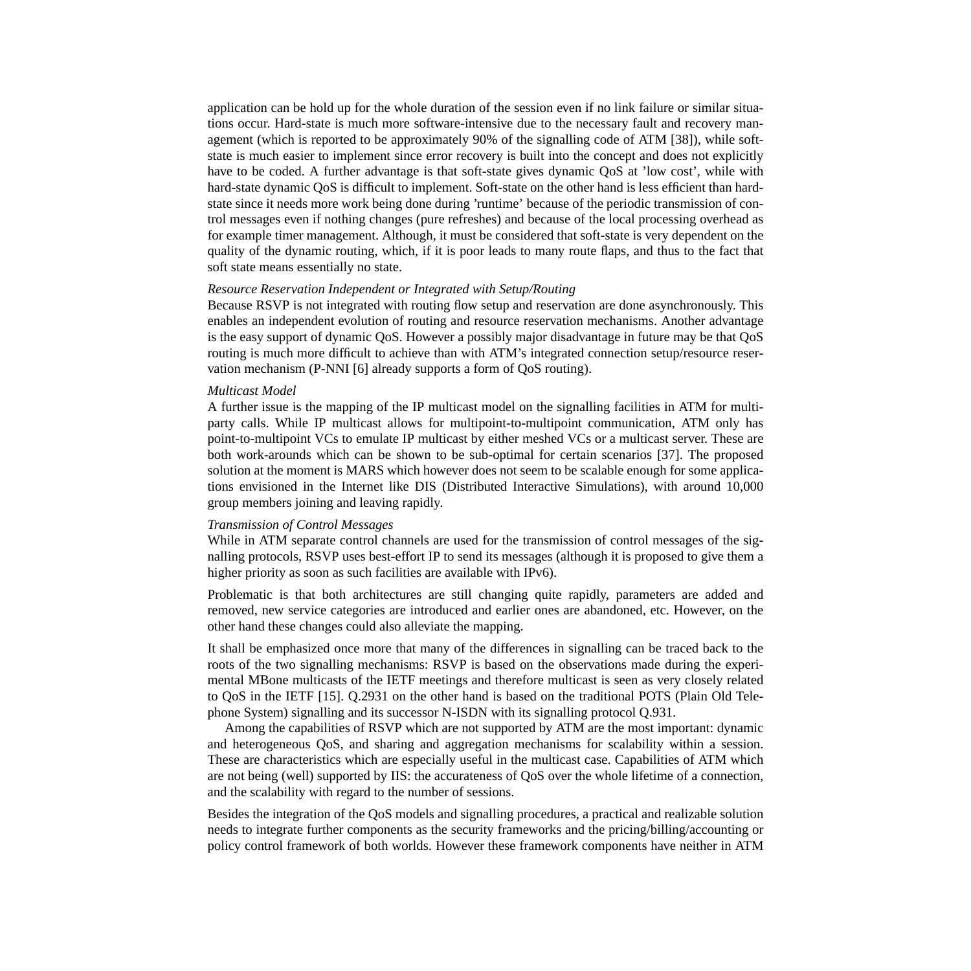application can be hold up for the whole duration of the session even if no link failure or similar situations occur. Hard-state is much more software-intensive due to the necessary fault and recovery management (which is reported to be approximately 90% of the signalling code of ATM [38]), while softstate is much easier to implement since error recovery is built into the concept and does not explicitly have to be coded. A further advantage is that soft-state gives dynamic QoS at 'low cost', while with hard-state dynamic QoS is difficult to implement. Soft-state on the other hand is less efficient than hardstate since it needs more work being done during 'runtime' because of the periodic transmission of control messages even if nothing changes (pure refreshes) and because of the local processing overhead as for example timer management. Although, it must be considered that soft-state is very dependent on the quality of the dynamic routing, which, if it is poor leads to many route flaps, and thus to the fact that soft state means essentially no state.

#### *Resource Reservation Independent or Integrated with Setup/Routing*

Because RSVP is not integrated with routing flow setup and reservation are done asynchronously. This enables an independent evolution of routing and resource reservation mechanisms. Another advantage is the easy support of dynamic QoS. However a possibly major disadvantage in future may be that QoS routing is much more difficult to achieve than with ATM's integrated connection setup/resource reservation mechanism (P-NNI [6] already supports a form of QoS routing).

#### *Multicast Model*

A further issue is the mapping of the IP multicast model on the signalling facilities in ATM for multiparty calls. While IP multicast allows for multipoint-to-multipoint communication, ATM only has point-to-multipoint VCs to emulate IP multicast by either meshed VCs or a multicast server. These are both work-arounds which can be shown to be sub-optimal for certain scenarios [37]. The proposed solution at the moment is MARS which however does not seem to be scalable enough for some applications envisioned in the Internet like DIS (Distributed Interactive Simulations), with around 10,000 group members joining and leaving rapidly.

#### *Transmission of Control Messages*

While in ATM separate control channels are used for the transmission of control messages of the signalling protocols, RSVP uses best-effort IP to send its messages (although it is proposed to give them a higher priority as soon as such facilities are available with IPv6).

Problematic is that both architectures are still changing quite rapidly, parameters are added and removed, new service categories are introduced and earlier ones are abandoned, etc. However, on the other hand these changes could also alleviate the mapping.

It shall be emphasized once more that many of the differences in signalling can be traced back to the roots of the two signalling mechanisms: RSVP is based on the observations made during the experimental MBone multicasts of the IETF meetings and therefore multicast is seen as very closely related to QoS in the IETF [15]. Q.2931 on the other hand is based on the traditional POTS (Plain Old Telephone System) signalling and its successor N-ISDN with its signalling protocol Q.931.

Among the capabilities of RSVP which are not supported by ATM are the most important: dynamic and heterogeneous QoS, and sharing and aggregation mechanisms for scalability within a session. These are characteristics which are especially useful in the multicast case. Capabilities of ATM which are not being (well) supported by IIS: the accurateness of QoS over the whole lifetime of a connection, and the scalability with regard to the number of sessions.

Besides the integration of the QoS models and signalling procedures, a practical and realizable solution needs to integrate further components as the security frameworks and the pricing/billing/accounting or policy control framework of both worlds. However these framework components have neither in ATM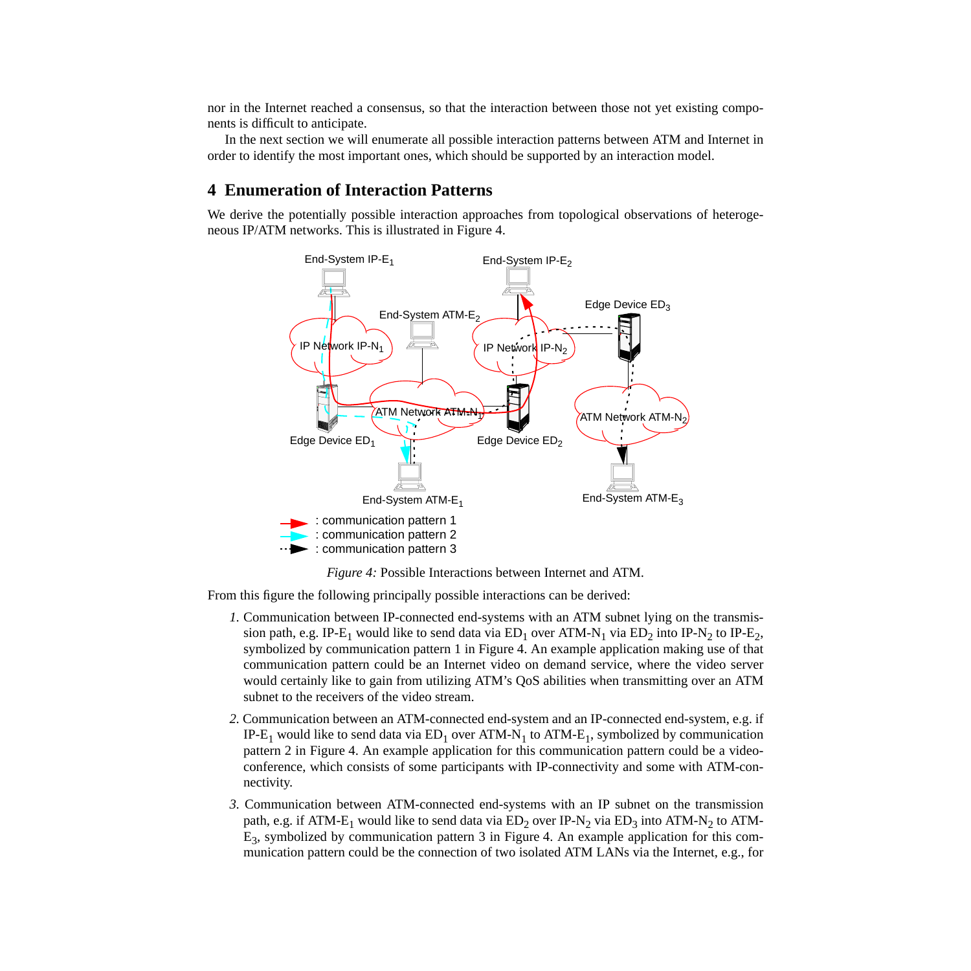nor in the Internet reached a consensus, so that the interaction between those not yet existing components is difficult to anticipate.

In the next section we will enumerate all possible interaction patterns between ATM and Internet in order to identify the most important ones, which should be supported by an interaction model.

# **4 Enumeration of Interaction Patterns**

We derive the potentially possible interaction approaches from topological observations of heterogeneous IP/ATM networks. This is illustrated in Figure 4.



*Figure 4:* Possible Interactions between Internet and ATM.

From this figure the following principally possible interactions can be derived:

- *1.* Communication between IP-connected end-systems with an ATM subnet lying on the transmission path, e.g. IP-E<sub>1</sub> would like to send data via  $ED_1$  over ATM-N<sub>1</sub> via  $ED_2$  into IP-N<sub>2</sub> to IP-E<sub>2</sub>, symbolized by communication pattern 1 in Figure 4. An example application making use of that communication pattern could be an Internet video on demand service, where the video server would certainly like to gain from utilizing ATM's QoS abilities when transmitting over an ATM subnet to the receivers of the video stream.
- *2.* Communication between an ATM-connected end-system and an IP-connected end-system, e.g. if IP-E<sub>1</sub> would like to send data via  $ED_1$  over ATM-N<sub>1</sub> to ATM-E<sub>1</sub>, symbolized by communication pattern 2 in Figure 4. An example application for this communication pattern could be a videoconference, which consists of some participants with IP-connectivity and some with ATM-connectivity.
- *3.* Communication between ATM-connected end-systems with an IP subnet on the transmission path, e.g. if ATM-E<sub>1</sub> would like to send data via  $ED_2$  over IP-N<sub>2</sub> via  $ED_3$  into ATM-N<sub>2</sub> to ATM- $E_3$ , symbolized by communication pattern 3 in Figure 4. An example application for this communication pattern could be the connection of two isolated ATM LANs via the Internet, e.g., for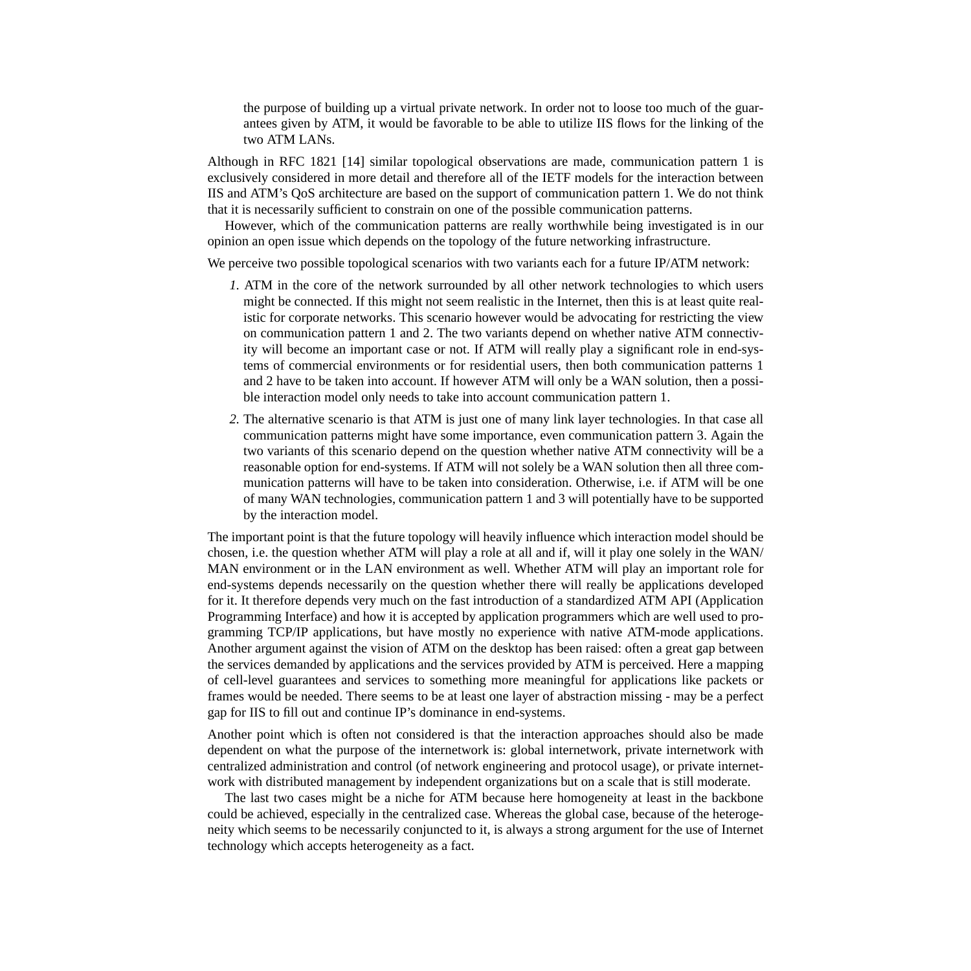the purpose of building up a virtual private network. In order not to loose too much of the guarantees given by ATM, it would be favorable to be able to utilize IIS flows for the linking of the two ATM LANs.

Although in RFC 1821 [14] similar topological observations are made, communication pattern 1 is exclusively considered in more detail and therefore all of the IETF models for the interaction between IIS and ATM's QoS architecture are based on the support of communication pattern 1. We do not think that it is necessarily sufficient to constrain on one of the possible communication patterns.

However, which of the communication patterns are really worthwhile being investigated is in our opinion an open issue which depends on the topology of the future networking infrastructure.

We perceive two possible topological scenarios with two variants each for a future IP/ATM network:

- *1.* ATM in the core of the network surrounded by all other network technologies to which users might be connected. If this might not seem realistic in the Internet, then this is at least quite realistic for corporate networks. This scenario however would be advocating for restricting the view on communication pattern 1 and 2. The two variants depend on whether native ATM connectivity will become an important case or not. If ATM will really play a significant role in end-systems of commercial environments or for residential users, then both communication patterns 1 and 2 have to be taken into account. If however ATM will only be a WAN solution, then a possible interaction model only needs to take into account communication pattern 1.
- *2.* The alternative scenario is that ATM is just one of many link layer technologies. In that case all communication patterns might have some importance, even communication pattern 3. Again the two variants of this scenario depend on the question whether native ATM connectivity will be a reasonable option for end-systems. If ATM will not solely be a WAN solution then all three communication patterns will have to be taken into consideration. Otherwise, i.e. if ATM will be one of many WAN technologies, communication pattern 1 and 3 will potentially have to be supported by the interaction model.

The important point is that the future topology will heavily influence which interaction model should be chosen, i.e. the question whether ATM will play a role at all and if, will it play one solely in the WAN/ MAN environment or in the LAN environment as well. Whether ATM will play an important role for end-systems depends necessarily on the question whether there will really be applications developed for it. It therefore depends very much on the fast introduction of a standardized ATM API (Application Programming Interface) and how it is accepted by application programmers which are well used to programming TCP/IP applications, but have mostly no experience with native ATM-mode applications. Another argument against the vision of ATM on the desktop has been raised: often a great gap between the services demanded by applications and the services provided by ATM is perceived. Here a mapping of cell-level guarantees and services to something more meaningful for applications like packets or frames would be needed. There seems to be at least one layer of abstraction missing - may be a perfect gap for IIS to fill out and continue IP's dominance in end-systems.

Another point which is often not considered is that the interaction approaches should also be made dependent on what the purpose of the internetwork is: global internetwork, private internetwork with centralized administration and control (of network engineering and protocol usage), or private internetwork with distributed management by independent organizations but on a scale that is still moderate.

The last two cases might be a niche for ATM because here homogeneity at least in the backbone could be achieved, especially in the centralized case. Whereas the global case, because of the heterogeneity which seems to be necessarily conjuncted to it, is always a strong argument for the use of Internet technology which accepts heterogeneity as a fact.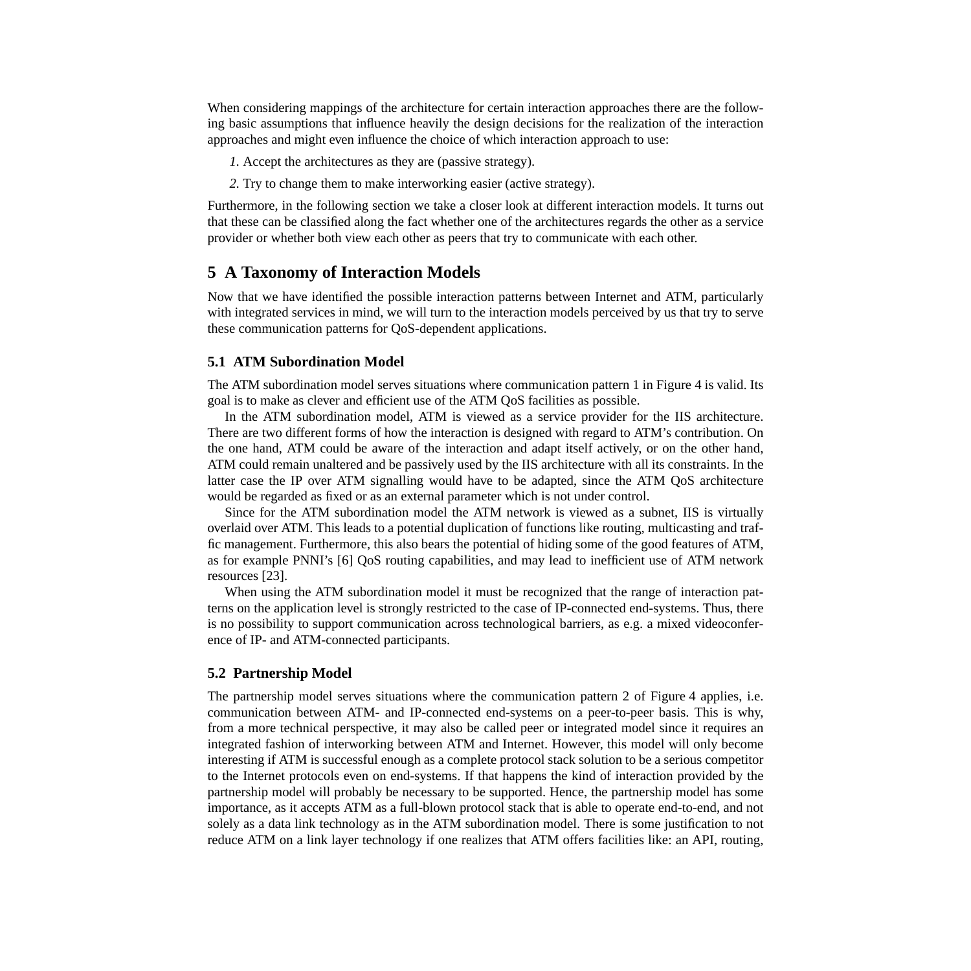When considering mappings of the architecture for certain interaction approaches there are the following basic assumptions that influence heavily the design decisions for the realization of the interaction approaches and might even influence the choice of which interaction approach to use:

*1.* Accept the architectures as they are (passive strategy).

*2.* Try to change them to make interworking easier (active strategy).

Furthermore, in the following section we take a closer look at different interaction models. It turns out that these can be classified along the fact whether one of the architectures regards the other as a service provider or whether both view each other as peers that try to communicate with each other.

# **5 A Taxonomy of Interaction Models**

Now that we have identified the possible interaction patterns between Internet and ATM, particularly with integrated services in mind, we will turn to the interaction models perceived by us that try to serve these communication patterns for QoS-dependent applications.

### **5.1 ATM Subordination Model**

The ATM subordination model serves situations where communication pattern 1 in Figure 4 is valid. Its goal is to make as clever and efficient use of the ATM QoS facilities as possible.

In the ATM subordination model, ATM is viewed as a service provider for the IIS architecture. There are two different forms of how the interaction is designed with regard to ATM's contribution. On the one hand, ATM could be aware of the interaction and adapt itself actively, or on the other hand, ATM could remain unaltered and be passively used by the IIS architecture with all its constraints. In the latter case the IP over ATM signalling would have to be adapted, since the ATM QoS architecture would be regarded as fixed or as an external parameter which is not under control.

Since for the ATM subordination model the ATM network is viewed as a subnet, IIS is virtually overlaid over ATM. This leads to a potential duplication of functions like routing, multicasting and traffic management. Furthermore, this also bears the potential of hiding some of the good features of ATM, as for example PNNI's [6] QoS routing capabilities, and may lead to inefficient use of ATM network resources [23].

When using the ATM subordination model it must be recognized that the range of interaction patterns on the application level is strongly restricted to the case of IP-connected end-systems. Thus, there is no possibility to support communication across technological barriers, as e.g. a mixed videoconference of IP- and ATM-connected participants.

### **5.2 Partnership Model**

The partnership model serves situations where the communication pattern 2 of Figure 4 applies, i.e. communication between ATM- and IP-connected end-systems on a peer-to-peer basis. This is why, from a more technical perspective, it may also be called peer or integrated model since it requires an integrated fashion of interworking between ATM and Internet. However, this model will only become interesting if ATM is successful enough as a complete protocol stack solution to be a serious competitor to the Internet protocols even on end-systems. If that happens the kind of interaction provided by the partnership model will probably be necessary to be supported. Hence, the partnership model has some importance, as it accepts ATM as a full-blown protocol stack that is able to operate end-to-end, and not solely as a data link technology as in the ATM subordination model. There is some justification to not reduce ATM on a link layer technology if one realizes that ATM offers facilities like: an API, routing,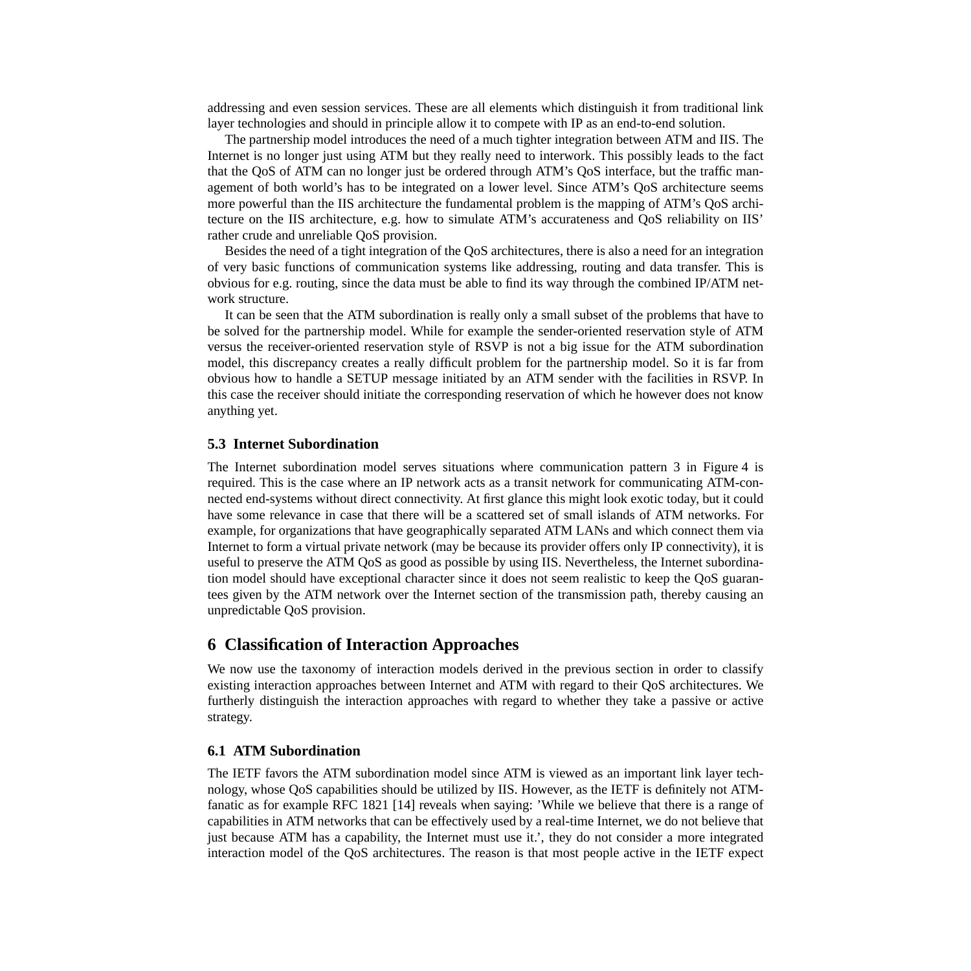addressing and even session services. These are all elements which distinguish it from traditional link layer technologies and should in principle allow it to compete with IP as an end-to-end solution.

The partnership model introduces the need of a much tighter integration between ATM and IIS. The Internet is no longer just using ATM but they really need to interwork. This possibly leads to the fact that the QoS of ATM can no longer just be ordered through ATM's QoS interface, but the traffic management of both world's has to be integrated on a lower level. Since ATM's QoS architecture seems more powerful than the IIS architecture the fundamental problem is the mapping of ATM's QoS architecture on the IIS architecture, e.g. how to simulate ATM's accurateness and QoS reliability on IIS' rather crude and unreliable QoS provision.

Besides the need of a tight integration of the QoS architectures, there is also a need for an integration of very basic functions of communication systems like addressing, routing and data transfer. This is obvious for e.g. routing, since the data must be able to find its way through the combined IP/ATM network structure.

It can be seen that the ATM subordination is really only a small subset of the problems that have to be solved for the partnership model. While for example the sender-oriented reservation style of ATM versus the receiver-oriented reservation style of RSVP is not a big issue for the ATM subordination model, this discrepancy creates a really difficult problem for the partnership model. So it is far from obvious how to handle a SETUP message initiated by an ATM sender with the facilities in RSVP. In this case the receiver should initiate the corresponding reservation of which he however does not know anything yet.

### **5.3 Internet Subordination**

The Internet subordination model serves situations where communication pattern 3 in Figure 4 is required. This is the case where an IP network acts as a transit network for communicating ATM-connected end-systems without direct connectivity. At first glance this might look exotic today, but it could have some relevance in case that there will be a scattered set of small islands of ATM networks. For example, for organizations that have geographically separated ATM LANs and which connect them via Internet to form a virtual private network (may be because its provider offers only IP connectivity), it is useful to preserve the ATM QoS as good as possible by using IIS. Nevertheless, the Internet subordination model should have exceptional character since it does not seem realistic to keep the QoS guarantees given by the ATM network over the Internet section of the transmission path, thereby causing an unpredictable QoS provision.

### **6 Classification of Interaction Approaches**

We now use the taxonomy of interaction models derived in the previous section in order to classify existing interaction approaches between Internet and ATM with regard to their QoS architectures. We furtherly distinguish the interaction approaches with regard to whether they take a passive or active strategy.

#### **6.1 ATM Subordination**

The IETF favors the ATM subordination model since ATM is viewed as an important link layer technology, whose QoS capabilities should be utilized by IIS. However, as the IETF is definitely not ATMfanatic as for example RFC 1821 [14] reveals when saying: 'While we believe that there is a range of capabilities in ATM networks that can be effectively used by a real-time Internet, we do not believe that just because ATM has a capability, the Internet must use it.', they do not consider a more integrated interaction model of the QoS architectures. The reason is that most people active in the IETF expect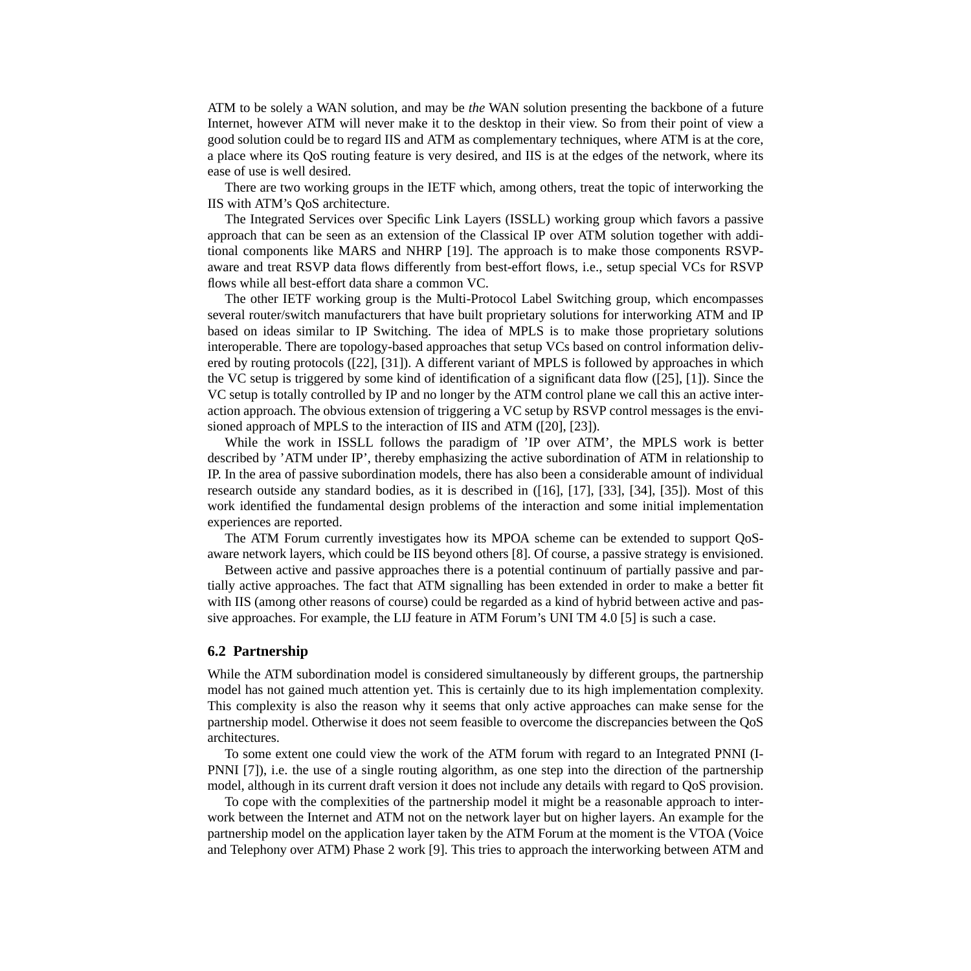ATM to be solely a WAN solution, and may be *the* WAN solution presenting the backbone of a future Internet, however ATM will never make it to the desktop in their view. So from their point of view a good solution could be to regard IIS and ATM as complementary techniques, where ATM is at the core, a place where its QoS routing feature is very desired, and IIS is at the edges of the network, where its ease of use is well desired.

There are two working groups in the IETF which, among others, treat the topic of interworking the IIS with ATM's QoS architecture.

The Integrated Services over Specific Link Layers (ISSLL) working group which favors a passive approach that can be seen as an extension of the Classical IP over ATM solution together with additional components like MARS and NHRP [19]. The approach is to make those components RSVPaware and treat RSVP data flows differently from best-effort flows, i.e., setup special VCs for RSVP flows while all best-effort data share a common VC.

The other IETF working group is the Multi-Protocol Label Switching group, which encompasses several router/switch manufacturers that have built proprietary solutions for interworking ATM and IP based on ideas similar to IP Switching. The idea of MPLS is to make those proprietary solutions interoperable. There are topology-based approaches that setup VCs based on control information delivered by routing protocols ([22], [31]). A different variant of MPLS is followed by approaches in which the VC setup is triggered by some kind of identification of a significant data flow ([25], [1]). Since the VC setup is totally controlled by IP and no longer by the ATM control plane we call this an active interaction approach. The obvious extension of triggering a VC setup by RSVP control messages is the envisioned approach of MPLS to the interaction of IIS and ATM ([20], [23]).

While the work in ISSLL follows the paradigm of 'IP over ATM', the MPLS work is better described by 'ATM under IP', thereby emphasizing the active subordination of ATM in relationship to IP. In the area of passive subordination models, there has also been a considerable amount of individual research outside any standard bodies, as it is described in ([16], [17], [33], [34], [35]). Most of this work identified the fundamental design problems of the interaction and some initial implementation experiences are reported.

The ATM Forum currently investigates how its MPOA scheme can be extended to support QoSaware network layers, which could be IIS beyond others [8]. Of course, a passive strategy is envisioned.

Between active and passive approaches there is a potential continuum of partially passive and partially active approaches. The fact that ATM signalling has been extended in order to make a better fit with IIS (among other reasons of course) could be regarded as a kind of hybrid between active and passive approaches. For example, the LIJ feature in ATM Forum's UNI TM 4.0 [5] is such a case.

### **6.2 Partnership**

While the ATM subordination model is considered simultaneously by different groups, the partnership model has not gained much attention yet. This is certainly due to its high implementation complexity. This complexity is also the reason why it seems that only active approaches can make sense for the partnership model. Otherwise it does not seem feasible to overcome the discrepancies between the QoS architectures.

To some extent one could view the work of the ATM forum with regard to an Integrated PNNI (I-PNNI [7]), i.e. the use of a single routing algorithm, as one step into the direction of the partnership model, although in its current draft version it does not include any details with regard to QoS provision.

To cope with the complexities of the partnership model it might be a reasonable approach to interwork between the Internet and ATM not on the network layer but on higher layers. An example for the partnership model on the application layer taken by the ATM Forum at the moment is the VTOA (Voice and Telephony over ATM) Phase 2 work [9]. This tries to approach the interworking between ATM and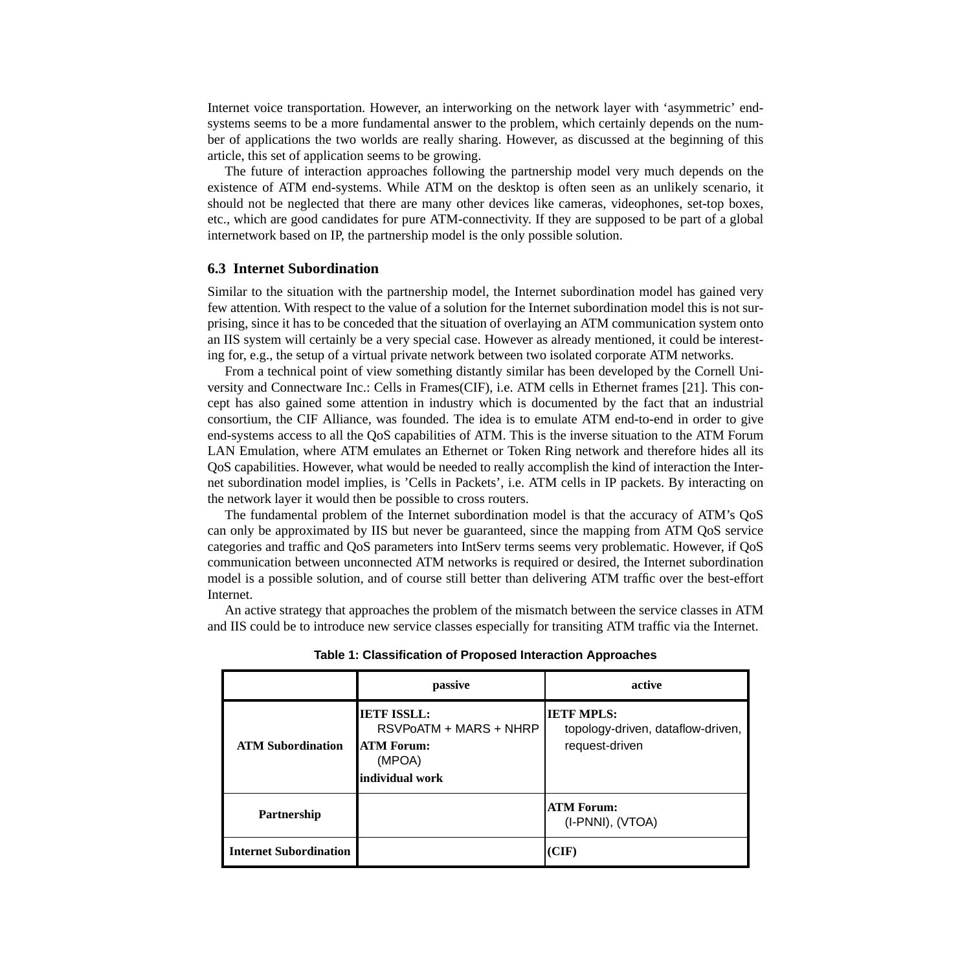Internet voice transportation. However, an interworking on the network layer with 'asymmetric' endsystems seems to be a more fundamental answer to the problem, which certainly depends on the number of applications the two worlds are really sharing. However, as discussed at the beginning of this article, this set of application seems to be growing.

The future of interaction approaches following the partnership model very much depends on the existence of ATM end-systems. While ATM on the desktop is often seen as an unlikely scenario, it should not be neglected that there are many other devices like cameras, videophones, set-top boxes, etc., which are good candidates for pure ATM-connectivity. If they are supposed to be part of a global internetwork based on IP, the partnership model is the only possible solution.

### **6.3 Internet Subordination**

Similar to the situation with the partnership model, the Internet subordination model has gained very few attention. With respect to the value of a solution for the Internet subordination model this is not surprising, since it has to be conceded that the situation of overlaying an ATM communication system onto an IIS system will certainly be a very special case. However as already mentioned, it could be interesting for, e.g., the setup of a virtual private network between two isolated corporate ATM networks.

From a technical point of view something distantly similar has been developed by the Cornell University and Connectware Inc.: Cells in Frames(CIF), i.e. ATM cells in Ethernet frames [21]. This concept has also gained some attention in industry which is documented by the fact that an industrial consortium, the CIF Alliance, was founded. The idea is to emulate ATM end-to-end in order to give end-systems access to all the QoS capabilities of ATM. This is the inverse situation to the ATM Forum LAN Emulation, where ATM emulates an Ethernet or Token Ring network and therefore hides all its QoS capabilities. However, what would be needed to really accomplish the kind of interaction the Internet subordination model implies, is 'Cells in Packets', i.e. ATM cells in IP packets. By interacting on the network layer it would then be possible to cross routers.

The fundamental problem of the Internet subordination model is that the accuracy of ATM's QoS can only be approximated by IIS but never be guaranteed, since the mapping from ATM QoS service categories and traffic and QoS parameters into IntServ terms seems very problematic. However, if QoS communication between unconnected ATM networks is required or desired, the Internet subordination model is a possible solution, and of course still better than delivering ATM traffic over the best-effort Internet.

An active strategy that approaches the problem of the mismatch between the service classes in ATM and IIS could be to introduce new service classes especially for transiting ATM traffic via the Internet.

|                               | passive                                                                                        | active                                                                   |
|-------------------------------|------------------------------------------------------------------------------------------------|--------------------------------------------------------------------------|
| <b>ATM Subordination</b>      | <b>IETF ISSLL:</b><br>RSVPoATM + MARS + NHRP<br><b>ATM Forum:</b><br>(MPOA)<br>individual work | <b>IETF MPLS:</b><br>topology-driven, dataflow-driven,<br>request-driven |
| Partnership                   |                                                                                                | <b>ATM Forum:</b><br>(I-PNNI), (VTOA)                                    |
| <b>Internet Subordination</b> |                                                                                                | (CIF)                                                                    |

**Table 1: Classification of Proposed Interaction Approaches**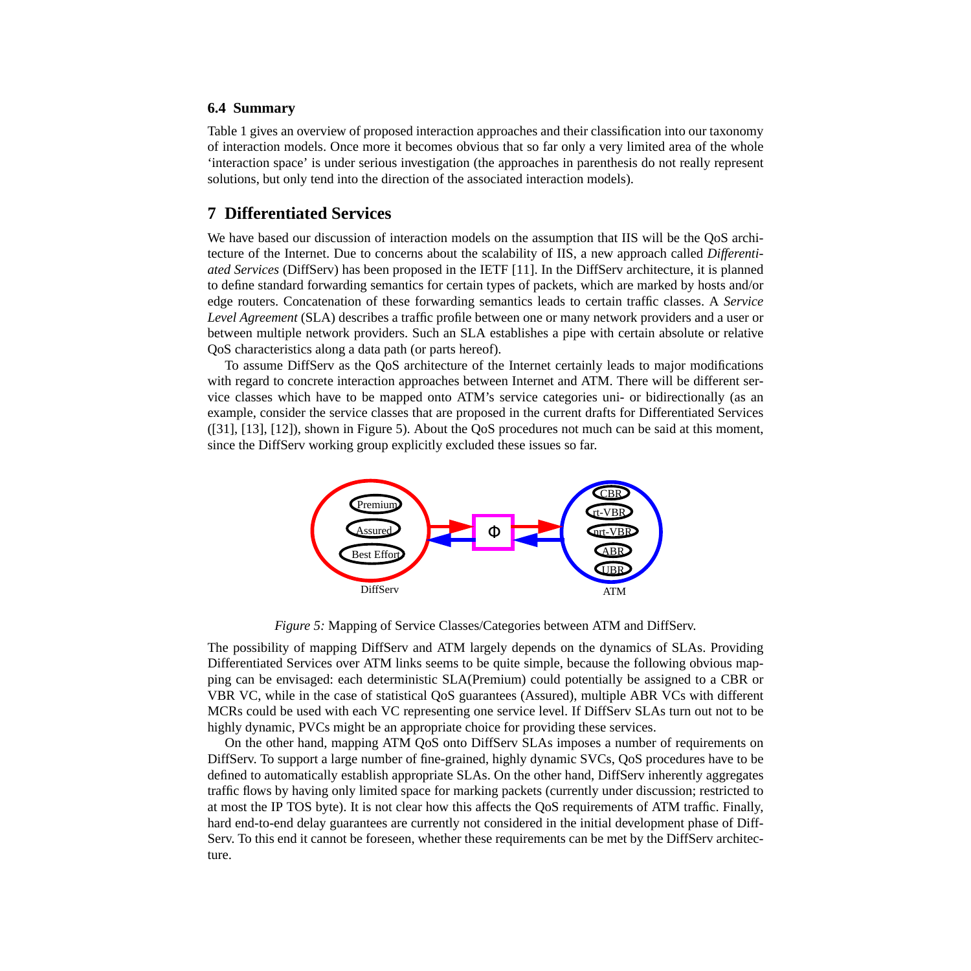### **6.4 Summary**

Table 1 gives an overview of proposed interaction approaches and their classification into our taxonomy of interaction models. Once more it becomes obvious that so far only a very limited area of the whole 'interaction space' is under serious investigation (the approaches in parenthesis do not really represent solutions, but only tend into the direction of the associated interaction models).

## **7 Differentiated Services**

We have based our discussion of interaction models on the assumption that IIS will be the OoS architecture of the Internet. Due to concerns about the scalability of IIS, a new approach called *Differentiated Services* (DiffServ) has been proposed in the IETF [11]. In the DiffServ architecture, it is planned to define standard forwarding semantics for certain types of packets, which are marked by hosts and/or edge routers. Concatenation of these forwarding semantics leads to certain traffic classes. A *Service Level Agreement* (SLA) describes a traffic profile between one or many network providers and a user or between multiple network providers. Such an SLA establishes a pipe with certain absolute or relative QoS characteristics along a data path (or parts hereof).

To assume DiffServ as the QoS architecture of the Internet certainly leads to major modifications with regard to concrete interaction approaches between Internet and ATM. There will be different service classes which have to be mapped onto ATM's service categories uni- or bidirectionally (as an example, consider the service classes that are proposed in the current drafts for Differentiated Services ([31], [13], [12]), shown in Figure 5). About the QoS procedures not much can be said at this moment, since the DiffServ working group explicitly excluded these issues so far.



*Figure 5:* Mapping of Service Classes/Categories between ATM and DiffServ.

The possibility of mapping DiffServ and ATM largely depends on the dynamics of SLAs. Providing Differentiated Services over ATM links seems to be quite simple, because the following obvious mapping can be envisaged: each deterministic SLA(Premium) could potentially be assigned to a CBR or VBR VC, while in the case of statistical QoS guarantees (Assured), multiple ABR VCs with different MCRs could be used with each VC representing one service level. If DiffServ SLAs turn out not to be highly dynamic, PVCs might be an appropriate choice for providing these services.

On the other hand, mapping ATM QoS onto DiffServ SLAs imposes a number of requirements on DiffServ. To support a large number of fine-grained, highly dynamic SVCs, QoS procedures have to be defined to automatically establish appropriate SLAs. On the other hand, DiffServ inherently aggregates traffic flows by having only limited space for marking packets (currently under discussion; restricted to at most the IP TOS byte). It is not clear how this affects the QoS requirements of ATM traffic. Finally, hard end-to-end delay guarantees are currently not considered in the initial development phase of Diff-Serv. To this end it cannot be foreseen, whether these requirements can be met by the DiffServ architecture.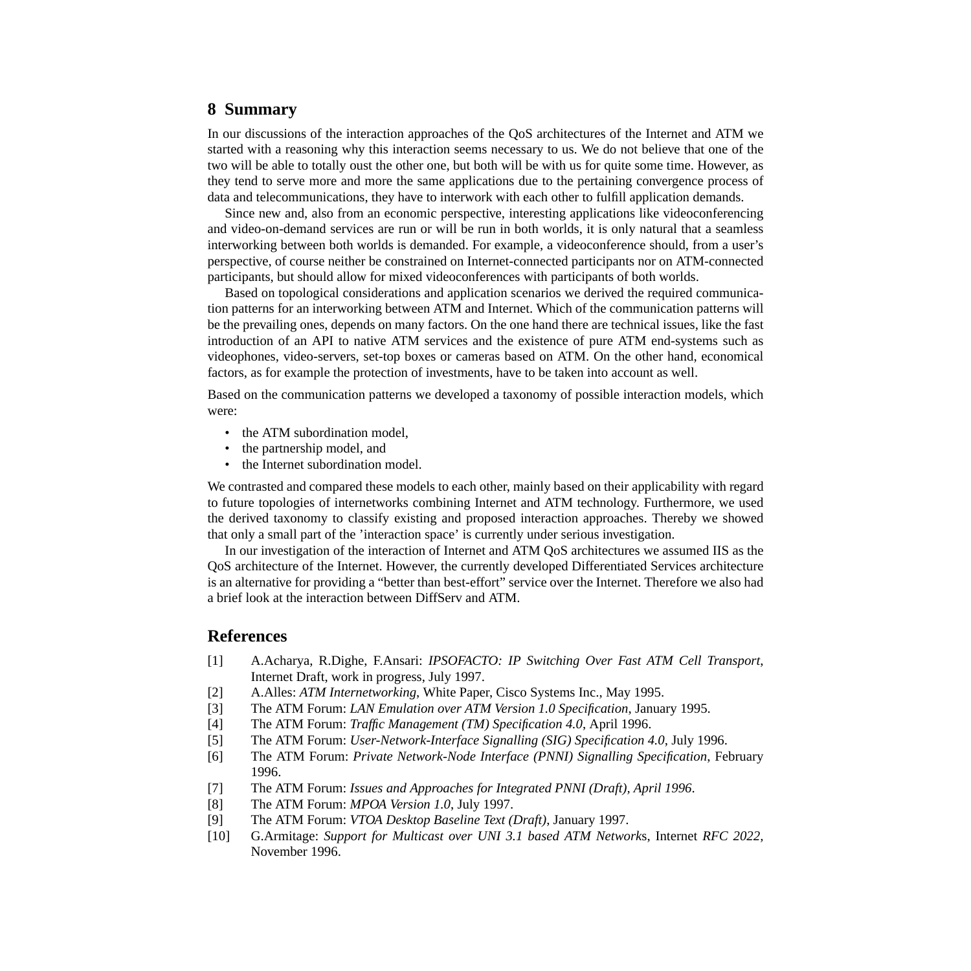### **8 Summary**

In our discussions of the interaction approaches of the QoS architectures of the Internet and ATM we started with a reasoning why this interaction seems necessary to us. We do not believe that one of the two will be able to totally oust the other one, but both will be with us for quite some time. However, as they tend to serve more and more the same applications due to the pertaining convergence process of data and telecommunications, they have to interwork with each other to fulfill application demands.

Since new and, also from an economic perspective, interesting applications like videoconferencing and video-on-demand services are run or will be run in both worlds, it is only natural that a seamless interworking between both worlds is demanded. For example, a videoconference should, from a user's perspective, of course neither be constrained on Internet-connected participants nor on ATM-connected participants, but should allow for mixed videoconferences with participants of both worlds.

Based on topological considerations and application scenarios we derived the required communication patterns for an interworking between ATM and Internet. Which of the communication patterns will be the prevailing ones, depends on many factors. On the one hand there are technical issues, like the fast introduction of an API to native ATM services and the existence of pure ATM end-systems such as videophones, video-servers, set-top boxes or cameras based on ATM. On the other hand, economical factors, as for example the protection of investments, have to be taken into account as well.

Based on the communication patterns we developed a taxonomy of possible interaction models, which were:

- the ATM subordination model,
- the partnership model, and
- the Internet subordination model.

We contrasted and compared these models to each other, mainly based on their applicability with regard to future topologies of internetworks combining Internet and ATM technology. Furthermore, we used the derived taxonomy to classify existing and proposed interaction approaches. Thereby we showed that only a small part of the 'interaction space' is currently under serious investigation.

In our investigation of the interaction of Internet and ATM QoS architectures we assumed IIS as the QoS architecture of the Internet. However, the currently developed Differentiated Services architecture is an alternative for providing a "better than best-effort" service over the Internet. Therefore we also had a brief look at the interaction between DiffServ and ATM.

### **References**

- [1] A.Acharya, R.Dighe, F.Ansari: *IPSOFACTO: IP Switching Over Fast ATM Cell Transport*, Internet Draft, work in progress, July 1997.
- [2] A.Alles: *ATM Internetworking*, White Paper, Cisco Systems Inc., May 1995.
- [3] The ATM Forum: *LAN Emulation over ATM Version 1.0 Specification*, January 1995.
- [4] The ATM Forum: *Traffic Management (TM) Specification 4.0*, April 1996.
- [5] The ATM Forum: *User-Network-Interface Signalling (SIG) Specification 4.0*, July 1996.
- [6] The ATM Forum: *Private Network-Node Interface (PNNI) Signalling Specification*, February 1996.
- [7] The ATM Forum: *Issues and Approaches for Integrated PNNI (Draft), April 1996*.
- [8] The ATM Forum: *MPOA Version 1.0*, July 1997.
- [9] The ATM Forum: *VTOA Desktop Baseline Text (Draft)*, January 1997.
- [10] G.Armitage: *Support for Multicast over UNI 3.1 based ATM Network*s, Internet *RFC 2022,* November 1996.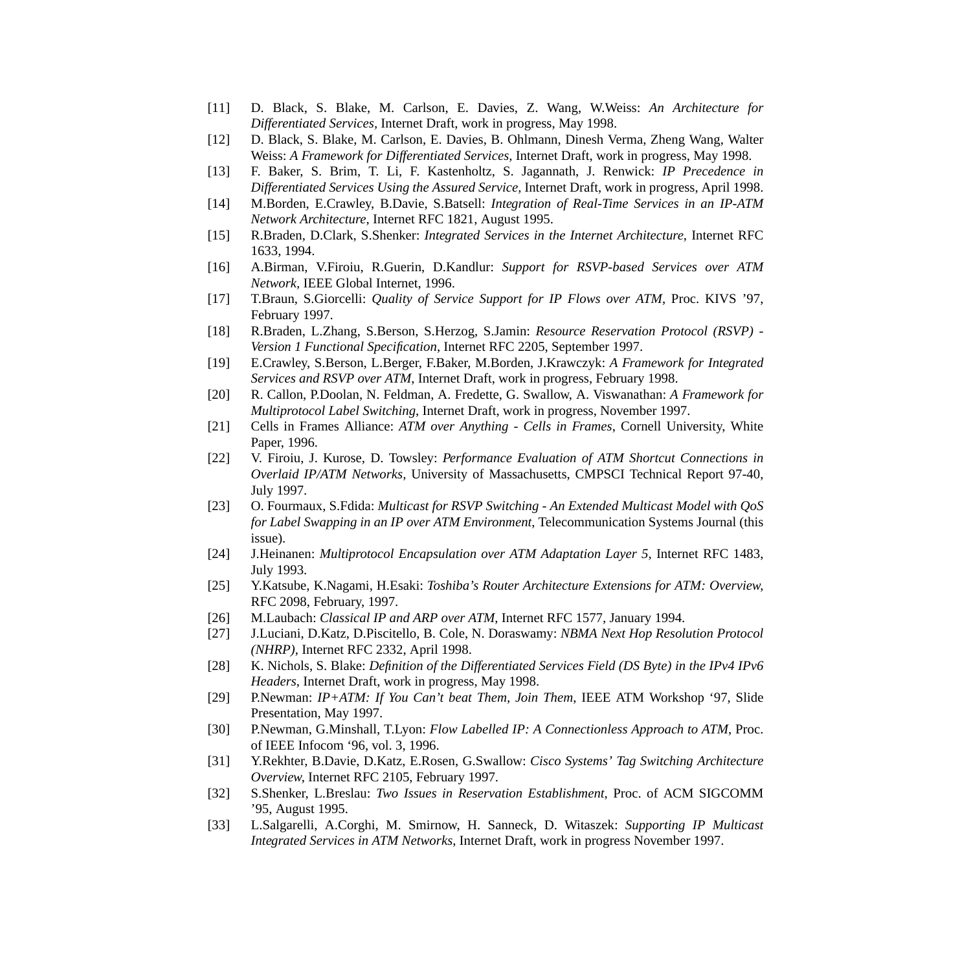- [11] D. Black, S. Blake, M. Carlson, E. Davies, Z. Wang, W.Weiss: *An Architecture for Differentiated Services,* Internet Draft, work in progress, May 1998.
- [12] D. Black, S. Blake, M. Carlson, E. Davies, B. Ohlmann, Dinesh Verma, Zheng Wang, Walter Weiss: *A Framework for Differentiated Services,* Internet Draft, work in progress, May 1998.
- [13] F. Baker, S. Brim, T. Li, F. Kastenholtz, S. Jagannath, J. Renwick: *IP Precedence in Differentiated Services Using the Assured Service,* Internet Draft, work in progress, April 1998.
- [14] M.Borden, E.Crawley, B.Davie, S.Batsell: *Integration of Real-Time Services in an IP-ATM Network Architecture*, Internet RFC 1821, August 1995.
- [15] R.Braden, D.Clark, S.Shenker: *Integrated Services in the Internet Architecture*, Internet RFC 1633, 1994.
- [16] A.Birman, V.Firoiu, R.Guerin, D.Kandlur: *Support for RSVP-based Services over ATM Network,* IEEE Global Internet, 1996.
- [17] T.Braun, S.Giorcelli: *Quality of Service Support for IP Flows over ATM*, Proc. KIVS '97, February 1997.
- [18] R.Braden, L.Zhang, S.Berson, S.Herzog, S.Jamin: *Resource Reservation Protocol (RSVP) - Version 1 Functional Specification*, Internet RFC 2205, September 1997.
- [19] E.Crawley, S.Berson, L.Berger, F.Baker, M.Borden, J.Krawczyk: *A Framework for Integrated Services and RSVP over ATM*, Internet Draft, work in progress, February 1998.
- [20] R. Callon, P.Doolan, N. Feldman, A. Fredette, G. Swallow, A. Viswanathan: *A Framework for Multiprotocol Label Switching*, Internet Draft, work in progress, November 1997.
- [21] Cells in Frames Alliance: *ATM over Anything Cells in Frames*, Cornell University, White Paper, 1996.
- [22] V. Firoiu, J. Kurose, D. Towsley: *Performance Evaluation of ATM Shortcut Connections in Overlaid IP/ATM Networks,* University of Massachusetts, CMPSCI Technical Report 97-40, July 1997.
- [23] O. Fourmaux, S.Fdida: *Multicast for RSVP Switching An Extended Multicast Model with QoS for Label Swapping in an IP over ATM Environment*, Telecommunication Systems Journal (this issue).
- [24] J.Heinanen: *Multiprotocol Encapsulation over ATM Adaptation Layer 5,* Internet RFC 1483, July 1993.
- [25] Y.Katsube, K.Nagami, H.Esaki: *Toshiba's Router Architecture Extensions for ATM: Overview*, RFC 2098, February, 1997.
- [26] M.Laubach: *Classical IP and ARP over ATM*, Internet RFC 1577*,* January 1994.
- [27] J.Luciani, D.Katz, D.Piscitello, B. Cole, N. Doraswamy: *NBMA Next Hop Resolution Protocol (NHRP)*, Internet RFC 2332, April 1998.
- [28] K. Nichols, S. Blake: *Definition of the Differentiated Services Field (DS Byte) in the IPv4 IPv6 Headers*, Internet Draft, work in progress, May 1998.
- [29] P.Newman: *IP+ATM: If You Can't beat Them, Join Them*, IEEE ATM Workshop '97, Slide Presentation, May 1997.
- [30] P.Newman, G.Minshall, T.Lyon: *Flow Labelled IP: A Connectionless Approach to ATM*, Proc. of IEEE Infocom '96, vol. 3, 1996.
- [31] Y.Rekhter, B.Davie, D.Katz, E.Rosen, G.Swallow: *Cisco Systems' Tag Switching Architecture Overview*, Internet RFC 2105, February 1997.
- [32] S.Shenker, L.Breslau: *Two Issues in Reservation Establishment*, Proc. of ACM SIGCOMM '95, August 1995.
- [33] L.Salgarelli, A.Corghi, M. Smirnow, H. Sanneck, D. Witaszek: *Supporting IP Multicast Integrated Services in ATM Networks*, Internet Draft, work in progress November 1997.